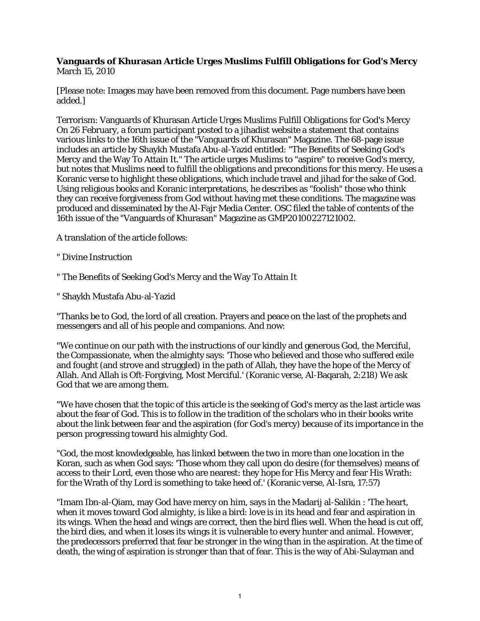## **Vanguards of Khurasan Article Urges Muslims Fulfill Obligations for God's Mercy** March 15, 2010

[Please note: Images may have been removed from this document. Page numbers have been added.]

Terrorism: Vanguards of Khurasan Article Urges Muslims Fulfill Obligations for God's Mercy On 26 February, a forum participant posted to a jihadist website a statement that contains various links to the 16th issue of the "Vanguards of Khurasan" Magazine. The 68-page issue includes an article by Shaykh Mustafa Abu-al-Yazid entitled: "The Benefits of Seeking God's Mercy and the Way To Attain It." The article urges Muslims to "aspire" to receive God's mercy, but notes that Muslims need to fulfill the obligations and preconditions for this mercy. He uses a Koranic verse to highlight these obligations, which include travel and jihad for the sake of God. Using religious books and Koranic interpretations, he describes as "foolish" those who think they can receive forgiveness from God without having met these conditions. The magazine was produced and disseminated by the Al-Fajr Media Center. OSC filed the table of contents of the 16th issue of the "Vanguards of Khurasan" Magazine as GMP20100227121002.

A translation of the article follows:

- " Divine Instruction
- " The Benefits of Seeking God's Mercy and the Way To Attain It
- " Shaykh Mustafa Abu-al-Yazid

"Thanks be to God, the lord of all creation. Prayers and peace on the last of the prophets and messengers and all of his people and companions. And now:

"We continue on our path with the instructions of our kindly and generous God, the Merciful, the Compassionate, when the almighty says: 'Those who believed and those who suffered exile and fought (and strove and struggled) in the path of Allah, they have the hope of the Mercy of Allah. And Allah is Oft-Forgiving, Most Merciful.' (Koranic verse, Al-Baqarah, 2:218) We ask God that we are among them.

"We have chosen that the topic of this article is the seeking of God's mercy as the last article was about the fear of God. This is to follow in the tradition of the scholars who in their books write about the link between fear and the aspiration (for God's mercy) because of its importance in the person progressing toward his almighty God.

"God, the most knowledgeable, has linked between the two in more than one location in the Koran, such as when God says: 'Those whom they call upon do desire (for themselves) means of access to their Lord, even those who are nearest: they hope for His Mercy and fear His Wrath: for the Wrath of thy Lord is something to take heed of.' (Koranic verse, Al-Isra, 17:57)

"Imam Ibn-al-Qiam, may God have mercy on him, says in the Madarij al-Salikin : 'The heart, when it moves toward God almighty, is like a bird: love is in its head and fear and aspiration in its wings. When the head and wings are correct, then the bird flies well. When the head is cut off, the bird dies, and when it loses its wings it is vulnerable to every hunter and animal. However, the predecessors preferred that fear be stronger in the wing than in the aspiration. At the time of death, the wing of aspiration is stronger than that of fear. This is the way of Abi-Sulayman and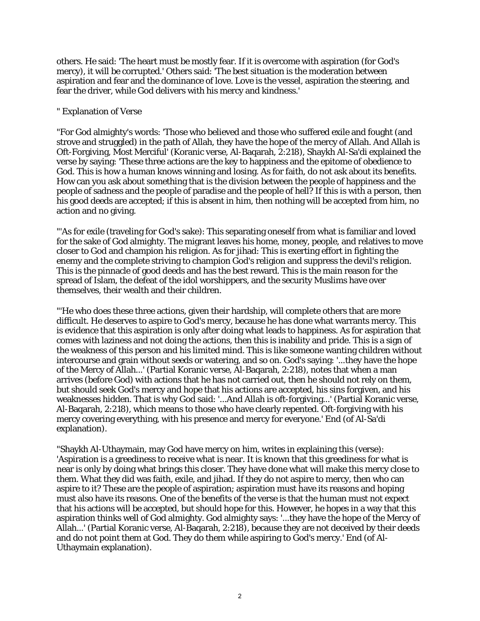others. He said: 'The heart must be mostly fear. If it is overcome with aspiration (for God's mercy), it will be corrupted.' Others said: 'The best situation is the moderation between aspiration and fear and the dominance of love. Love is the vessel, aspiration the steering, and fear the driver, while God delivers with his mercy and kindness.'

## " Explanation of Verse

"For God almighty's words: 'Those who believed and those who suffered exile and fought (and strove and struggled) in the path of Allah, they have the hope of the mercy of Allah. And Allah is Oft-Forgiving, Most Merciful' (Koranic verse, Al-Baqarah, 2:218), Shaykh Al-Sa'di explained the verse by saying: 'These three actions are the key to happiness and the epitome of obedience to God. This is how a human knows winning and losing. As for faith, do not ask about its benefits. How can you ask about something that is the division between the people of happiness and the people of sadness and the people of paradise and the people of hell? If this is with a person, then his good deeds are accepted; if this is absent in him, then nothing will be accepted from him, no action and no giving.

"'As for exile (traveling for God's sake): This separating oneself from what is familiar and loved for the sake of God almighty. The migrant leaves his home, money, people, and relatives to move closer to God and champion his religion. As for jihad: This is exerting effort in fighting the enemy and the complete striving to champion God's religion and suppress the devil's religion. This is the pinnacle of good deeds and has the best reward. This is the main reason for the spread of Islam, the defeat of the idol worshippers, and the security Muslims have over themselves, their wealth and their children.

"'He who does these three actions, given their hardship, will complete others that are more difficult. He deserves to aspire to God's mercy, because he has done what warrants mercy. This is evidence that this aspiration is only after doing what leads to happiness. As for aspiration that comes with laziness and not doing the actions, then this is inability and pride. This is a sign of the weakness of this person and his limited mind. This is like someone wanting children without intercourse and grain without seeds or watering, and so on. God's saying: '...they have the hope of the Mercy of Allah...' (Partial Koranic verse, Al-Baqarah, 2:218), notes that when a man arrives (before God) with actions that he has not carried out, then he should not rely on them, but should seek God's mercy and hope that his actions are accepted, his sins forgiven, and his weaknesses hidden. That is why God said: '...And Allah is oft-forgiving...' (Partial Koranic verse, Al-Baqarah, 2:218), which means to those who have clearly repented. Oft-forgiving with his mercy covering everything, with his presence and mercy for everyone.' End (of Al-Sa'di explanation).

"Shaykh Al-Uthaymain, may God have mercy on him, writes in explaining this (verse): 'Aspiration is a greediness to receive what is near. It is known that this greediness for what is near is only by doing what brings this closer. They have done what will make this mercy close to them. What they did was faith, exile, and jihad. If they do not aspire to mercy, then who can aspire to it? These are the people of aspiration; aspiration must have its reasons and hoping must also have its reasons. One of the benefits of the verse is that the human must not expect that his actions will be accepted, but should hope for this. However, he hopes in a way that this aspiration thinks well of God almighty. God almighty says: '...they have the hope of the Mercy of Allah...' (Partial Koranic verse, Al-Baqarah, 2:218), because they are not deceived by their deeds and do not point them at God. They do them while aspiring to God's mercy.' End (of Al-Uthaymain explanation).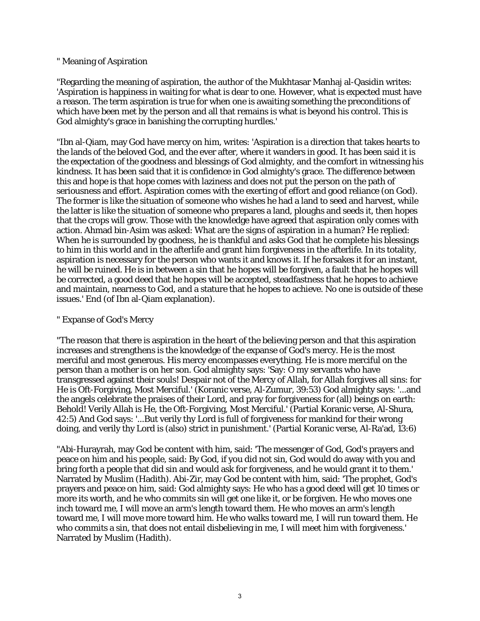## " Meaning of Aspiration

"Regarding the meaning of aspiration, the author of the Mukhtasar Manhaj al-Qasidin writes: 'Aspiration is happiness in waiting for what is dear to one. However, what is expected must have a reason. The term aspiration is true for when one is awaiting something the preconditions of which have been met by the person and all that remains is what is beyond his control. This is God almighty's grace in banishing the corrupting hurdles.'

"Ibn al-Qiam, may God have mercy on him, writes: 'Aspiration is a direction that takes hearts to the lands of the beloved God, and the ever after, where it wanders in good. It has been said it is the expectation of the goodness and blessings of God almighty, and the comfort in witnessing his kindness. It has been said that it is confidence in God almighty's grace. The difference between this and hope is that hope comes with laziness and does not put the person on the path of seriousness and effort. Aspiration comes with the exerting of effort and good reliance (on God). The former is like the situation of someone who wishes he had a land to seed and harvest, while the latter is like the situation of someone who prepares a land, ploughs and seeds it, then hopes that the crops will grow. Those with the knowledge have agreed that aspiration only comes with action. Ahmad bin-Asim was asked: What are the signs of aspiration in a human? He replied: When he is surrounded by goodness, he is thankful and asks God that he complete his blessings to him in this world and in the afterlife and grant him forgiveness in the afterlife. In its totality, aspiration is necessary for the person who wants it and knows it. If he forsakes it for an instant, he will be ruined. He is in between a sin that he hopes will be forgiven, a fault that he hopes will be corrected, a good deed that he hopes will be accepted, steadfastness that he hopes to achieve and maintain, nearness to God, and a stature that he hopes to achieve. No one is outside of these issues.' End (of Ibn al-Qiam explanation).

## " Expanse of God's Mercy

"The reason that there is aspiration in the heart of the believing person and that this aspiration increases and strengthens is the knowledge of the expanse of God's mercy. He is the most merciful and most generous. His mercy encompasses everything. He is more merciful on the person than a mother is on her son. God almighty says: 'Say: O my servants who have transgressed against their souls! Despair not of the Mercy of Allah, for Allah forgives all sins: for He is Oft-Forgiving, Most Merciful.' (Koranic verse, Al-Zumur, 39:53) God almighty says: '...and the angels celebrate the praises of their Lord, and pray for forgiveness for (all) beings on earth: Behold! Verily Allah is He, the Oft-Forgiving, Most Merciful.' (Partial Koranic verse, Al-Shura, 42:5) And God says: '...But verily thy Lord is full of forgiveness for mankind for their wrong doing, and verily thy Lord is (also) strict in punishment.' (Partial Koranic verse, Al-Ra'ad, 13:6)

"Abi-Hurayrah, may God be content with him, said: 'The messenger of God, God's prayers and peace on him and his people, said: By God, if you did not sin, God would do away with you and bring forth a people that did sin and would ask for forgiveness, and he would grant it to them.' Narrated by Muslim (Hadith). Abi-Zir, may God be content with him, said: 'The prophet, God's prayers and peace on him, said: God almighty says: He who has a good deed will get 10 times or more its worth, and he who commits sin will get one like it, or be forgiven. He who moves one inch toward me, I will move an arm's length toward them. He who moves an arm's length toward me, I will move more toward him. He who walks toward me, I will run toward them. He who commits a sin, that does not entail disbelieving in me, I will meet him with forgiveness.' Narrated by Muslim (Hadith).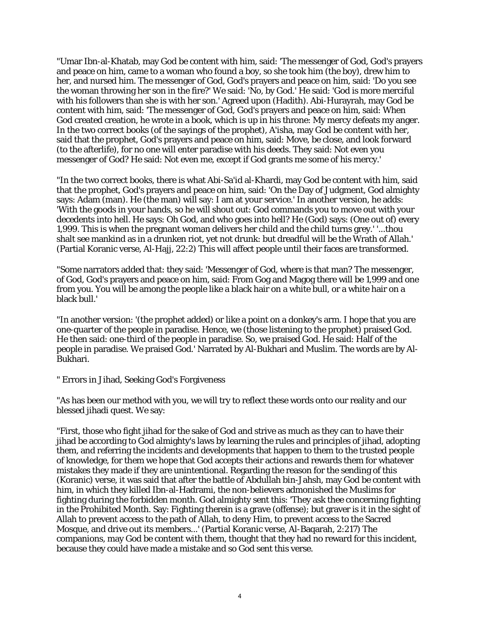"Umar Ibn-al-Khatab, may God be content with him, said: 'The messenger of God, God's prayers and peace on him, came to a woman who found a boy, so she took him (the boy), drew him to her, and nursed him. The messenger of God, God's prayers and peace on him, said: 'Do you see the woman throwing her son in the fire?' We said: 'No, by God.' He said: 'God is more merciful with his followers than she is with her son.' Agreed upon (Hadith). Abi-Hurayrah, may God be content with him, said: 'The messenger of God, God's prayers and peace on him, said: When God created creation, he wrote in a book, which is up in his throne: My mercy defeats my anger. In the two correct books (of the sayings of the prophet), A'isha, may God be content with her, said that the prophet, God's prayers and peace on him, said: Move, be close, and look forward (to the afterlife), for no one will enter paradise with his deeds. They said: Not even you messenger of God? He said: Not even me, except if God grants me some of his mercy.'

"In the two correct books, there is what Abi-Sa'id al-Khardi, may God be content with him, said that the prophet, God's prayers and peace on him, said: 'On the Day of Judgment, God almighty says: Adam (man). He (the man) will say: I am at your service.' In another version, he adds: 'With the goods in your hands, so he will shout out: God commands you to move out with your decedents into hell. He says: Oh God, and who goes into hell? He (God) says: (One out of) every 1,999. This is when the pregnant woman delivers her child and the child turns grey.' '...thou shalt see mankind as in a drunken riot, yet not drunk: but dreadful will be the Wrath of Allah.' (Partial Koranic verse, Al-Hajj, 22:2) This will affect people until their faces are transformed.

"Some narrators added that: they said: 'Messenger of God, where is that man? The messenger, of God, God's prayers and peace on him, said: From Gog and Magog there will be 1,999 and one from you. You will be among the people like a black hair on a white bull, or a white hair on a black bull.'

"In another version: '(the prophet added) or like a point on a donkey's arm. I hope that you are one-quarter of the people in paradise. Hence, we (those listening to the prophet) praised God. He then said: one-third of the people in paradise. So, we praised God. He said: Half of the people in paradise. We praised God.' Narrated by Al-Bukhari and Muslim. The words are by Al-Bukhari.

" Errors in Jihad, Seeking God's Forgiveness

"As has been our method with you, we will try to reflect these words onto our reality and our blessed jihadi quest. We say:

"First, those who fight jihad for the sake of God and strive as much as they can to have their jihad be according to God almighty's laws by learning the rules and principles of jihad, adopting them, and referring the incidents and developments that happen to them to the trusted people of knowledge, for them we hope that God accepts their actions and rewards them for whatever mistakes they made if they are unintentional. Regarding the reason for the sending of this (Koranic) verse, it was said that after the battle of Abdullah bin-Jahsh, may God be content with him, in which they killed Ibn-al-Hadrami, the non-believers admonished the Muslims for fighting during the forbidden month. God almighty sent this: 'They ask thee concerning fighting in the Prohibited Month. Say: Fighting therein is a grave (offense); but graver is it in the sight of Allah to prevent access to the path of Allah, to deny Him, to prevent access to the Sacred Mosque, and drive out its members...' (Partial Koranic verse, Al-Baqarah, 2:217) The companions, may God be content with them, thought that they had no reward for this incident, because they could have made a mistake and so God sent this verse.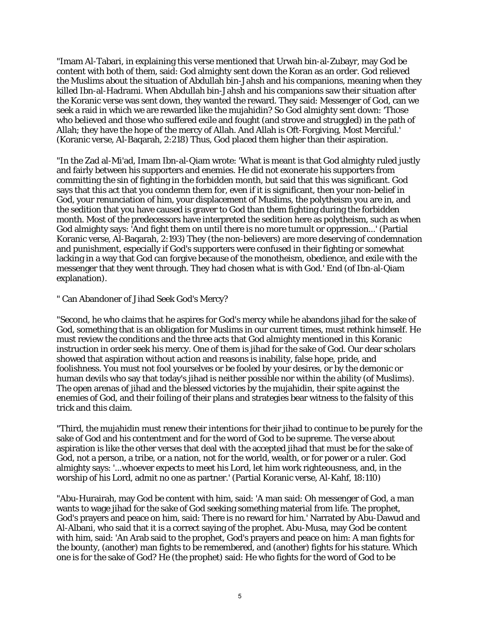"Imam Al-Tabari, in explaining this verse mentioned that Urwah bin-al-Zubayr, may God be content with both of them, said: God almighty sent down the Koran as an order. God relieved the Muslims about the situation of Abdullah bin-Jahsh and his companions, meaning when they killed Ibn-al-Hadrami. When Abdullah bin-Jahsh and his companions saw their situation after the Koranic verse was sent down, they wanted the reward. They said: Messenger of God, can we seek a raid in which we are rewarded like the mujahidin? So God almighty sent down: 'Those who believed and those who suffered exile and fought (and strove and struggled) in the path of Allah; they have the hope of the mercy of Allah. And Allah is Oft-Forgiving, Most Merciful.' (Koranic verse, Al-Baqarah, 2:218) Thus, God placed them higher than their aspiration.

"In the Zad al-Mi'ad, Imam Ibn-al-Qiam wrote: 'What is meant is that God almighty ruled justly and fairly between his supporters and enemies. He did not exonerate his supporters from committing the sin of fighting in the forbidden month, but said that this was significant. God says that this act that you condemn them for, even if it is significant, then your non-belief in God, your renunciation of him, your displacement of Muslims, the polytheism you are in, and the sedition that you have caused is graver to God than them fighting during the forbidden month. Most of the predecessors have interpreted the sedition here as polytheism, such as when God almighty says: 'And fight them on until there is no more tumult or oppression...' (Partial Koranic verse, Al-Baqarah, 2:193) They (the non-believers) are more deserving of condemnation and punishment, especially if God's supporters were confused in their fighting or somewhat lacking in a way that God can forgive because of the monotheism, obedience, and exile with the messenger that they went through. They had chosen what is with God.' End (of Ibn-al-Qiam explanation).

" Can Abandoner of Jihad Seek God's Mercy?

"Second, he who claims that he aspires for God's mercy while he abandons jihad for the sake of God, something that is an obligation for Muslims in our current times, must rethink himself. He must review the conditions and the three acts that God almighty mentioned in this Koranic instruction in order seek his mercy. One of them is jihad for the sake of God. Our dear scholars showed that aspiration without action and reasons is inability, false hope, pride, and foolishness. You must not fool yourselves or be fooled by your desires, or by the demonic or human devils who say that today's jihad is neither possible nor within the ability (of Muslims). The open arenas of jihad and the blessed victories by the mujahidin, their spite against the enemies of God, and their foiling of their plans and strategies bear witness to the falsity of this trick and this claim.

"Third, the mujahidin must renew their intentions for their jihad to continue to be purely for the sake of God and his contentment and for the word of God to be supreme. The verse about aspiration is like the other verses that deal with the accepted jihad that must be for the sake of God, not a person, a tribe, or a nation, not for the world, wealth, or for power or a ruler. God almighty says: '...whoever expects to meet his Lord, let him work righteousness, and, in the worship of his Lord, admit no one as partner.' (Partial Koranic verse, Al-Kahf, 18:110)

"Abu-Hurairah, may God be content with him, said: 'A man said: Oh messenger of God, a man wants to wage jihad for the sake of God seeking something material from life. The prophet, God's prayers and peace on him, said: There is no reward for him.' Narrated by Abu-Dawud and Al-Albani, who said that it is a correct saying of the prophet. Abu-Musa, may God be content with him, said: 'An Arab said to the prophet, God's prayers and peace on him: A man fights for the bounty, (another) man fights to be remembered, and (another) fights for his stature. Which one is for the sake of God? He (the prophet) said: He who fights for the word of God to be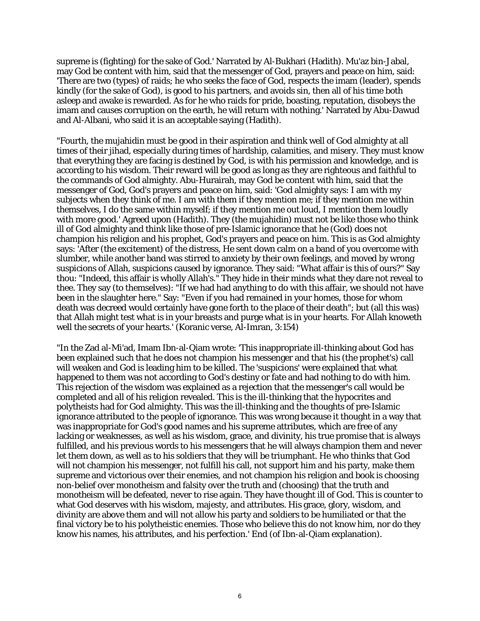supreme is (fighting) for the sake of God.' Narrated by Al-Bukhari (Hadith). Mu'az bin-Jabal, may God be content with him, said that the messenger of God, prayers and peace on him, said: 'There are two (types) of raids; he who seeks the face of God, respects the imam (leader), spends kindly (for the sake of God), is good to his partners, and avoids sin, then all of his time both asleep and awake is rewarded. As for he who raids for pride, boasting, reputation, disobeys the imam and causes corruption on the earth, he will return with nothing.' Narrated by Abu-Dawud and Al-Albani, who said it is an acceptable saying (Hadith).

"Fourth, the mujahidin must be good in their aspiration and think well of God almighty at all times of their jihad, especially during times of hardship, calamities, and misery. They must know that everything they are facing is destined by God, is with his permission and knowledge, and is according to his wisdom. Their reward will be good as long as they are righteous and faithful to the commands of God almighty. Abu-Hurairah, may God be content with him, said that the messenger of God, God's prayers and peace on him, said: 'God almighty says: I am with my subjects when they think of me. I am with them if they mention me; if they mention me within themselves, I do the same within myself; if they mention me out loud, I mention them loudly with more good.' Agreed upon (Hadith). They (the mujahidin) must not be like those who think ill of God almighty and think like those of pre-Islamic ignorance that he (God) does not champion his religion and his prophet, God's prayers and peace on him. This is as God almighty says: 'After (the excitement) of the distress, He sent down calm on a band of you overcome with slumber, while another band was stirred to anxiety by their own feelings, and moved by wrong suspicions of Allah, suspicions caused by ignorance. They said: "What affair is this of ours?" Say thou: "Indeed, this affair is wholly Allah's." They hide in their minds what they dare not reveal to thee. They say (to themselves): "If we had had anything to do with this affair, we should not have been in the slaughter here." Say: "Even if you had remained in your homes, those for whom death was decreed would certainly have gone forth to the place of their death"; but (all this was) that Allah might test what is in your breasts and purge what is in your hearts. For Allah knoweth well the secrets of your hearts.' (Koranic verse, Al-Imran, 3:154)

"In the Zad al-Mi'ad, Imam Ibn-al-Qiam wrote: 'This inappropriate ill-thinking about God has been explained such that he does not champion his messenger and that his (the prophet's) call will weaken and God is leading him to be killed. The 'suspicions' were explained that what happened to them was not according to God's destiny or fate and had nothing to do with him. This rejection of the wisdom was explained as a rejection that the messenger's call would be completed and all of his religion revealed. This is the ill-thinking that the hypocrites and polytheists had for God almighty. This was the ill-thinking and the thoughts of pre-Islamic ignorance attributed to the people of ignorance. This was wrong because it thought in a way that was inappropriate for God's good names and his supreme attributes, which are free of any lacking or weaknesses, as well as his wisdom, grace, and divinity, his true promise that is always fulfilled, and his previous words to his messengers that he will always champion them and never let them down, as well as to his soldiers that they will be triumphant. He who thinks that God will not champion his messenger, not fulfill his call, not support him and his party, make them supreme and victorious over their enemies, and not champion his religion and book is choosing non-belief over monotheism and falsity over the truth and (choosing) that the truth and monotheism will be defeated, never to rise again. They have thought ill of God. This is counter to what God deserves with his wisdom, majesty, and attributes. His grace, glory, wisdom, and divinity are above them and will not allow his party and soldiers to be humiliated or that the final victory be to his polytheistic enemies. Those who believe this do not know him, nor do they know his names, his attributes, and his perfection.' End (of Ibn-al-Qiam explanation).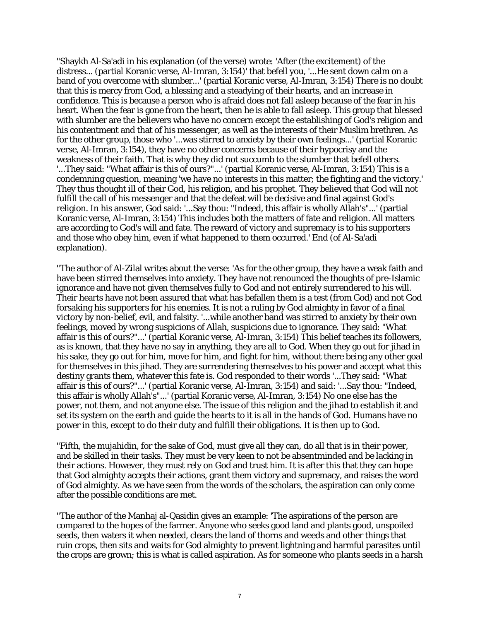"Shaykh Al-Sa'adi in his explanation (of the verse) wrote: 'After (the excitement) of the distress... (partial Koranic verse, Al-Imran, 3:154)' that befell you, '...He sent down calm on a band of you overcome with slumber...' (partial Koranic verse, Al-Imran, 3:154) There is no doubt that this is mercy from God, a blessing and a steadying of their hearts, and an increase in confidence. This is because a person who is afraid does not fall asleep because of the fear in his heart. When the fear is gone from the heart, then he is able to fall asleep. This group that blessed with slumber are the believers who have no concern except the establishing of God's religion and his contentment and that of his messenger, as well as the interests of their Muslim brethren. As for the other group, those who '...was stirred to anxiety by their own feelings...' (partial Koranic verse, Al-Imran, 3:154), they have no other concerns because of their hypocrisy and the weakness of their faith. That is why they did not succumb to the slumber that befell others. '...They said: "What affair is this of ours?"...' (partial Koranic verse, Al-Imran, 3:154) This is a condemning question, meaning 'we have no interests in this matter; the fighting and the victory.' They thus thought ill of their God, his religion, and his prophet. They believed that God will not fulfill the call of his messenger and that the defeat will be decisive and final against God's religion. In his answer, God said: '...Say thou: "Indeed, this affair is wholly Allah's"...' (partial Koranic verse, Al-Imran, 3:154) This includes both the matters of fate and religion. All matters are according to God's will and fate. The reward of victory and supremacy is to his supporters and those who obey him, even if what happened to them occurred.' End (of Al-Sa'adi explanation).

"The author of Al-Zilal writes about the verse: 'As for the other group, they have a weak faith and have been stirred themselves into anxiety. They have not renounced the thoughts of pre-Islamic ignorance and have not given themselves fully to God and not entirely surrendered to his will. Their hearts have not been assured that what has befallen them is a test (from God) and not God forsaking his supporters for his enemies. It is not a ruling by God almighty in favor of a final victory by non-belief, evil, and falsity. '...while another band was stirred to anxiety by their own feelings, moved by wrong suspicions of Allah, suspicions due to ignorance. They said: "What affair is this of ours?"...' (partial Koranic verse, Al-Imran, 3:154) This belief teaches its followers, as is known, that they have no say in anything, they are all to God. When they go out for jihad in his sake, they go out for him, move for him, and fight for him, without there being any other goal for themselves in this jihad. They are surrendering themselves to his power and accept what this destiny grants them, whatever this fate is. God responded to their words '...They said: "What affair is this of ours?"...' (partial Koranic verse, Al-Imran, 3:154) and said: '...Say thou: "Indeed, this affair is wholly Allah's"...' (partial Koranic verse, Al-Imran, 3:154) No one else has the power, not them, and not anyone else. The issue of this religion and the jihad to establish it and set its system on the earth and guide the hearts to it is all in the hands of God. Humans have no power in this, except to do their duty and fulfill their obligations. It is then up to God.

"Fifth, the mujahidin, for the sake of God, must give all they can, do all that is in their power, and be skilled in their tasks. They must be very keen to not be absentminded and be lacking in their actions. However, they must rely on God and trust him. It is after this that they can hope that God almighty accepts their actions, grant them victory and supremacy, and raises the word of God almighty. As we have seen from the words of the scholars, the aspiration can only come after the possible conditions are met.

"The author of the Manhaj al-Qasidin gives an example: 'The aspirations of the person are compared to the hopes of the farmer. Anyone who seeks good land and plants good, unspoiled seeds, then waters it when needed, clears the land of thorns and weeds and other things that ruin crops, then sits and waits for God almighty to prevent lightning and harmful parasites until the crops are grown; this is what is called aspiration. As for someone who plants seeds in a harsh